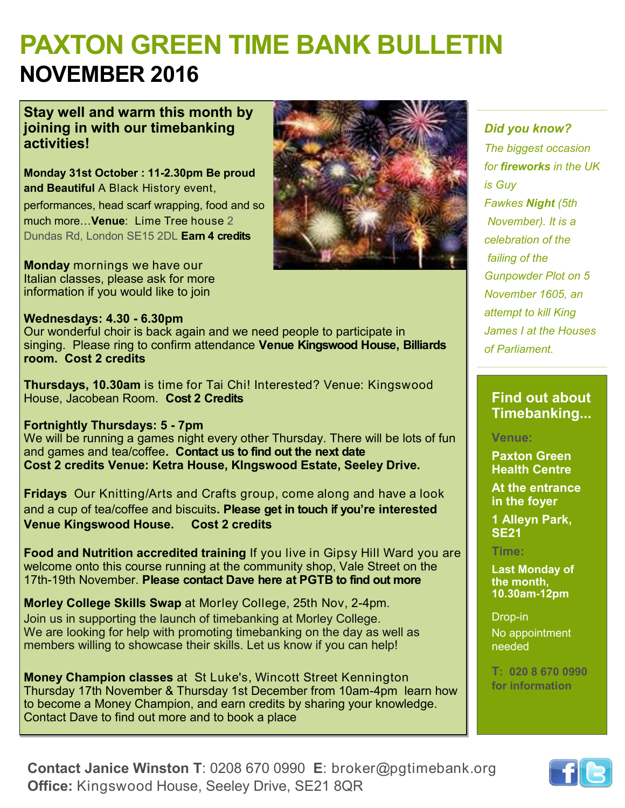# **PAXTON GREEN TIME BANK BULLETIN NOVEMBER 2016**

#### **Stay well and warm this month by joining in with our timebanking activities!**

**Monday 31st October : 11-2.30pm Be proud and Beautiful** A Black History event,

performances, head scarf wrapping, food and so much more…**Venue**: Lime Tree house 2 Dundas Rd, London SE15 2DL **Earn 4 credits**

**Monday** mornings we have our Italian classes, please ask for more information if you would like to join

#### **Wednesdays: 4.30 - 6.30pm**

Our wonderful choir is back again and we need people to participate in singing. Please ring to confirm attendance **Venue Kingswood House, Billiards room. Cost 2 credits**

**Thursdays, 10.30am** is time for Tai Chi! Interested? Venue: Kingswood House, Jacobean Room. **Cost 2 Credits** 

**Fortnightly Thursdays: 5 - 7pm**  We will be running a games night every other Thursday. There will be lots of fun and games and tea/coffee**. Contact us to find out the next date Cost 2 credits Venue: Ketra House, KIngswood Estate, Seeley Drive.**

**Fridays** Our Knitting/Arts and Crafts group, come along and have a look and a cup of tea/coffee and biscuits**. Please get in touch if you're interested Venue Kingswood House. Cost 2 credits**

**Food and Nutrition accredited training** If you live in Gipsy Hill Ward you are welcome onto this course running at the community shop, Vale Street on the 17th-19th November. **Please contact Dave here at PGTB to find out more** 

**Morley College Skills Swap** at Morley College, 25th Nov, 2-4pm. Join us in supporting the launch of timebanking at Morley College. We are looking for help with promoting timebanking on the day as well as members willing to showcase their skills. Let us know if you can help!

**Money Champion classes** at St Luke's, Wincott Street Kennington Thursday 17th November & Thursday 1st December from 10am-4pm learn how to become a Money Champion, and earn credits by sharing your knowledge. Contact Dave to find out more and to book a place

#### *Did you know?*

*The biggest occasion for fireworks in the UK is Guy Fawkes Night (5th November). It is a celebration of the failing of the Gunpowder Plot on 5 November 1605, an attempt to kill King James I at the Houses of Parliament.* 

### **Find out about Timebanking...**

#### **Venue:**

**Paxton Green Health Centre** 

**At the entrance in the foyer**

**1 Alleyn Park, SE21**

#### **Time:**

**Last Monday of the month, 10.30am-12pm**

Drop-in

No appointment needed

**T: 020 8 670 0990 for information**



**Contact Janice Winston T**: 0208 670 0990 **E**: broker@pgtimebank.org **Office:** Kingswood House, Seeley Drive, SE21 8QR